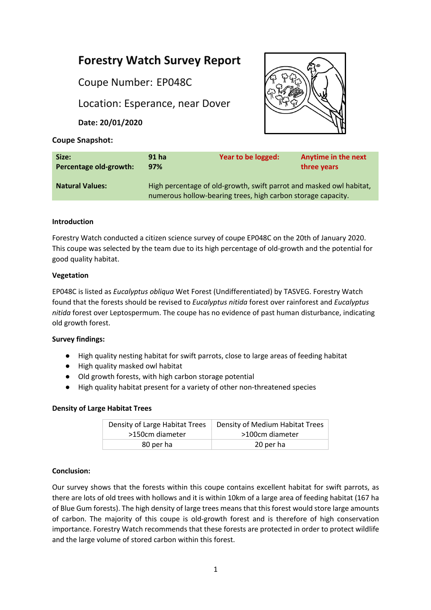# **Forestry Watch Survey Report**

Coupe Number: EP048C

Location: Esperance, near Dover

**Date: 20/01/2020**



## **Coupe Snapshot:**

| Size:                  | 91 <sub>ha</sub>                                                                                                                    | Year to be logged: | <b>Anytime in the next</b> |
|------------------------|-------------------------------------------------------------------------------------------------------------------------------------|--------------------|----------------------------|
| Percentage old-growth: | 97%                                                                                                                                 |                    | three years                |
| <b>Natural Values:</b> | High percentage of old-growth, swift parrot and masked owl habitat,<br>numerous hollow-bearing trees, high carbon storage capacity. |                    |                            |

# **Introduction**

Forestry Watch conducted a citizen science survey of coupe EP048C on the 20th of January 2020. This coupe was selected by the team due to its high percentage of old-growth and the potential for good quality habitat.

### **Vegetation**

EP048C is listed as *Eucalyptus obliqua* Wet Forest (Undifferentiated) by TASVEG. Forestry Watch found that the forests should be revised to *Eucalyptus nitida* forest over rainforest and *Eucalyptus nitida* forest over Leptospermum. The coupe has no evidence of past human disturbance, indicating old growth forest.

#### **Survey findings:**

- High quality nesting habitat for swift parrots, close to large areas of feeding habitat
- High quality masked owl habitat
- Old growth forests, with high carbon storage potential
- High quality habitat present for a variety of other non-threatened species

#### **Density of Large Habitat Trees**

| Density of Large Habitat Trees | Density of Medium Habitat Trees |  |
|--------------------------------|---------------------------------|--|
| >150cm diameter                | >100cm diameter                 |  |
| 80 per ha                      | 20 per ha                       |  |

# **Conclusion:**

Our survey shows that the forests within this coupe contains excellent habitat for swift parrots, as there are lots of old trees with hollows and it is within 10km of a large area of feeding habitat (167 ha of Blue Gum forests). The high density of large trees means that this forest would store large amounts of carbon. The majority of this coupe is old-growth forest and is therefore of high conservation importance. Forestry Watch recommends that these forests are protected in order to protect wildlife and the large volume of stored carbon within this forest.